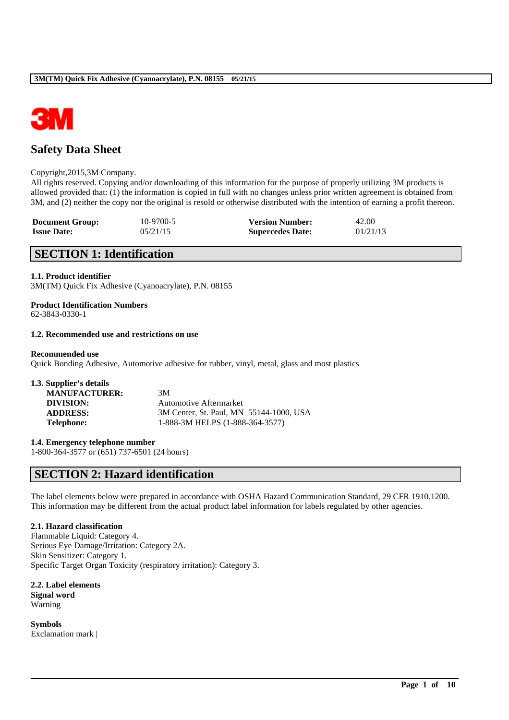

# **Safety Data Sheet**

### Copyright,2015,3M Company.

All rights reserved. Copying and/or downloading of this information for the purpose of properly utilizing 3M products is allowed provided that: (1) the information is copied in full with no changes unless prior written agreement is obtained from 3M, and (2) neither the copy nor the original is resold or otherwise distributed with the intention of earning a profit thereon.

| <b>Document Group:</b> | 10-9700-5 | <b>Version Number:</b>  | 42.00    |
|------------------------|-----------|-------------------------|----------|
| <b>Issue Date:</b>     | 05/21/15  | <b>Supercedes Date:</b> | 01/21/13 |

# **SECTION 1: Identification**

### **1.1. Product identifier**

3M(TM) Quick Fix Adhesive (Cyanoacrylate), P.N. 08155

# **Product Identification Numbers**

62-3843-0330-1

# **1.2. Recommended use and restrictions on use**

### **Recommended use**

Quick Bonding Adhesive, Automotive adhesive for rubber, vinyl, metal, glass and most plastics

| 1.3. Supplier's details |                                         |
|-------------------------|-----------------------------------------|
| <b>MANUFACTURER:</b>    | 3M                                      |
| DIVISION:               | Automotive Aftermarket                  |
| <b>ADDRESS:</b>         | 3M Center, St. Paul, MN 55144-1000, USA |
| <b>Telephone:</b>       | 1-888-3M HELPS (1-888-364-3577)         |

**1.4. Emergency telephone number**

1-800-364-3577 or (651) 737-6501 (24 hours)

# **SECTION 2: Hazard identification**

The label elements below were prepared in accordance with OSHA Hazard Communication Standard, 29 CFR 1910.1200. This information may be different from the actual product label information for labels regulated by other agencies.

\_\_\_\_\_\_\_\_\_\_\_\_\_\_\_\_\_\_\_\_\_\_\_\_\_\_\_\_\_\_\_\_\_\_\_\_\_\_\_\_\_\_\_\_\_\_\_\_\_\_\_\_\_\_\_\_\_\_\_\_\_\_\_\_\_\_\_\_\_\_\_\_\_\_\_\_\_\_\_\_\_\_\_\_\_\_\_\_\_\_

### **2.1. Hazard classification**

Flammable Liquid: Category 4. Serious Eye Damage/Irritation: Category 2A. Skin Sensitizer: Category 1. Specific Target Organ Toxicity (respiratory irritation): Category 3.

**2.2. Label elements Signal word** Warning

**Symbols** Exclamation mark |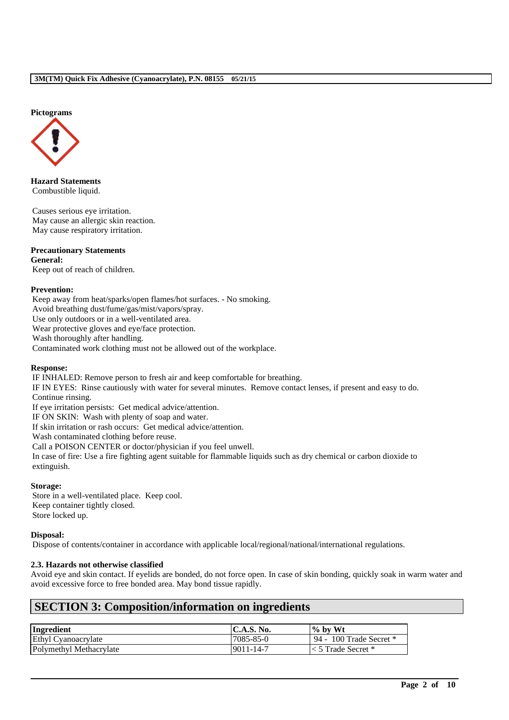### **Pictograms**



**Hazard Statements** Combustible liquid.

Causes serious eye irritation. May cause an allergic skin reaction. May cause respiratory irritation.

### **Precautionary Statements**

**General:** Keep out of reach of children.

### **Prevention:**

Keep away from heat/sparks/open flames/hot surfaces. - No smoking. Avoid breathing dust/fume/gas/mist/vapors/spray. Use only outdoors or in a well-ventilated area. Wear protective gloves and eye/face protection. Wash thoroughly after handling. Contaminated work clothing must not be allowed out of the workplace.

### **Response:**

IF INHALED: Remove person to fresh air and keep comfortable for breathing.

IF IN EYES: Rinse cautiously with water for several minutes. Remove contact lenses, if present and easy to do. Continue rinsing.

If eye irritation persists: Get medical advice/attention.

IF ON SKIN: Wash with plenty of soap and water.

If skin irritation or rash occurs: Get medical advice/attention.

Wash contaminated clothing before reuse.

Call a POISON CENTER or doctor/physician if you feel unwell.

In case of fire: Use a fire fighting agent suitable for flammable liquids such as dry chemical or carbon dioxide to extinguish.

### **Storage:**

Store in a well-ventilated place. Keep cool. Keep container tightly closed. Store locked up.

### **Disposal:**

Dispose of contents/container in accordance with applicable local/regional/national/international regulations.

### **2.3. Hazards not otherwise classified**

Avoid eye and skin contact. If eyelids are bonded, do not force open. In case of skin bonding, quickly soak in warm water and avoid excessive force to free bonded area. May bond tissue rapidly.

\_\_\_\_\_\_\_\_\_\_\_\_\_\_\_\_\_\_\_\_\_\_\_\_\_\_\_\_\_\_\_\_\_\_\_\_\_\_\_\_\_\_\_\_\_\_\_\_\_\_\_\_\_\_\_\_\_\_\_\_\_\_\_\_\_\_\_\_\_\_\_\_\_\_\_\_\_\_\_\_\_\_\_\_\_\_\_\_\_\_

# **SECTION 3: Composition/information on ingredients**

| Ingredient              | $\mathbf{C.A.S.~No.}$ | $\%$ by Wt                 |
|-------------------------|-----------------------|----------------------------|
| Ethyl Cyanoacrylate     | 7085-85-0             | 94 - 100 Trade Secret $*$  |
| Polymethyl Methacrylate | 9011-14-7             | $\vert$ < 5 Trade Secret * |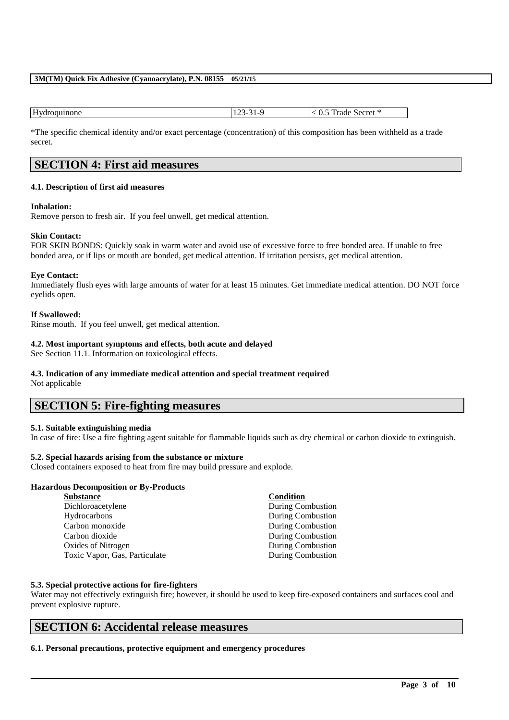| Hv   | - 14              |
|------|-------------------|
| пюне | Secret            |
| . K  | $\mathcal{L}$     |
|      | $-1$ dde $-$      |
|      | $v_{\cdot \cdot}$ |
|      | .                 |

\*The specific chemical identity and/or exact percentage (concentration) of this composition has been withheld as a trade secret.

# **SECTION 4: First aid measures**

# **4.1. Description of first aid measures**

### **Inhalation:**

Remove person to fresh air. If you feel unwell, get medical attention.

### **Skin Contact:**

FOR SKIN BONDS: Quickly soak in warm water and avoid use of excessive force to free bonded area. If unable to free bonded area, or if lips or mouth are bonded, get medical attention. If irritation persists, get medical attention.

### **Eye Contact:**

Immediately flush eyes with large amounts of water for at least 15 minutes. Get immediate medical attention. DO NOT force eyelids open.

### **If Swallowed:**

Rinse mouth. If you feel unwell, get medical attention.

### **4.2. Most important symptoms and effects, both acute and delayed**

See Section 11.1. Information on toxicological effects.

# **4.3. Indication of any immediate medical attention and special treatment required**

Not applicable

# **SECTION 5: Fire-fighting measures**

# **5.1. Suitable extinguishing media**

In case of fire: Use a fire fighting agent suitable for flammable liquids such as dry chemical or carbon dioxide to extinguish.

### **5.2. Special hazards arising from the substance or mixture**

Closed containers exposed to heat from fire may build pressure and explode.

# **Hazardous Decomposition or By-Products**

| <b>Substance</b>              | Condition                |
|-------------------------------|--------------------------|
| Dichloroacetylene             | <b>During Combustion</b> |
| Hydrocarbons                  | <b>During Combustion</b> |
| Carbon monoxide               | During Combustion        |
| Carbon dioxide                | <b>During Combustion</b> |
| Oxides of Nitrogen            | <b>During Combustion</b> |
| Toxic Vapor, Gas, Particulate | <b>During Combustion</b> |
|                               |                          |

### **5.3. Special protective actions for fire-fighters**

Water may not effectively extinguish fire; however, it should be used to keep fire-exposed containers and surfaces cool and prevent explosive rupture.

\_\_\_\_\_\_\_\_\_\_\_\_\_\_\_\_\_\_\_\_\_\_\_\_\_\_\_\_\_\_\_\_\_\_\_\_\_\_\_\_\_\_\_\_\_\_\_\_\_\_\_\_\_\_\_\_\_\_\_\_\_\_\_\_\_\_\_\_\_\_\_\_\_\_\_\_\_\_\_\_\_\_\_\_\_\_\_\_\_\_

# **SECTION 6: Accidental release measures**

**6.1. Personal precautions, protective equipment and emergency procedures**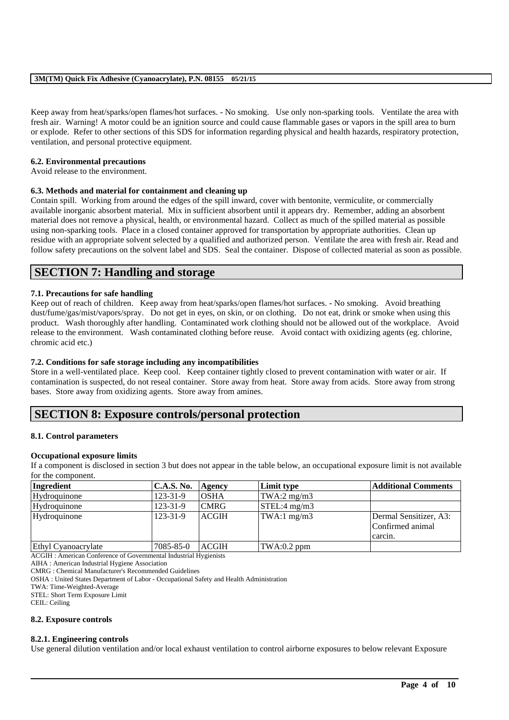Keep away from heat/sparks/open flames/hot surfaces. - No smoking. Use only non-sparking tools. Ventilate the area with fresh air. Warning! A motor could be an ignition source and could cause flammable gases or vapors in the spill area to burn or explode. Refer to other sections of this SDS for information regarding physical and health hazards, respiratory protection, ventilation, and personal protective equipment.

### **6.2. Environmental precautions**

Avoid release to the environment.

# **6.3. Methods and material for containment and cleaning up**

Contain spill. Working from around the edges of the spill inward, cover with bentonite, vermiculite, or commercially available inorganic absorbent material. Mix in sufficient absorbent until it appears dry. Remember, adding an absorbent material does not remove a physical, health, or environmental hazard. Collect as much of the spilled material as possible using non-sparking tools. Place in a closed container approved for transportation by appropriate authorities. Clean up residue with an appropriate solvent selected by a qualified and authorized person. Ventilate the area with fresh air. Read and follow safety precautions on the solvent label and SDS. Seal the container. Dispose of collected material as soon as possible.

# **SECTION 7: Handling and storage**

### **7.1. Precautions for safe handling**

Keep out of reach of children. Keep away from heat/sparks/open flames/hot surfaces. - No smoking. Avoid breathing dust/fume/gas/mist/vapors/spray. Do not get in eyes, on skin, or on clothing. Do not eat, drink or smoke when using this product. Wash thoroughly after handling. Contaminated work clothing should not be allowed out of the workplace. Avoid release to the environment. Wash contaminated clothing before reuse. Avoid contact with oxidizing agents (eg. chlorine, chromic acid etc.)

### **7.2. Conditions for safe storage including any incompatibilities**

Store in a well-ventilated place. Keep cool. Keep container tightly closed to prevent contamination with water or air. If contamination is suspected, do not reseal container. Store away from heat. Store away from acids. Store away from strong bases. Store away from oxidizing agents. Store away from amines.

# **SECTION 8: Exposure controls/personal protection**

### **8.1. Control parameters**

### **Occupational exposure limits**

If a component is disclosed in section 3 but does not appear in the table below, an occupational exposure limit is not available for the component.

| Ingredient          | <b>C.A.S. No.</b> | Agency       | Limit type    | <b>Additional Comments</b>                            |
|---------------------|-------------------|--------------|---------------|-------------------------------------------------------|
| Hydroquinone        | $123 - 31 - 9$    | <b>OSHA</b>  | TWA:2 $mg/m3$ |                                                       |
| Hydroquinone        | $123 - 31 - 9$    | <b>CMRG</b>  | STEL:4 mg/m3  |                                                       |
| Hydroquinone        | $123 - 31 - 9$    | <b>ACGIH</b> | TWA:1 $mg/m3$ | Dermal Sensitizer, A3:<br>Confirmed animal<br>carcin. |
| Ethyl Cyanoacrylate | 7085-85-0         | <b>ACGIH</b> | $TWA:0.2$ ppm |                                                       |

ACGIH : American Conference of Governmental Industrial Hygienists

AIHA : American Industrial Hygiene Association

CMRG : Chemical Manufacturer's Recommended Guidelines

OSHA : United States Department of Labor - Occupational Safety and Health Administration

TWA: Time-Weighted-Average

STEL: Short Term Exposure Limit

CEIL: Ceiling

### **8.2. Exposure controls**

### **8.2.1. Engineering controls**

Use general dilution ventilation and/or local exhaust ventilation to control airborne exposures to below relevant Exposure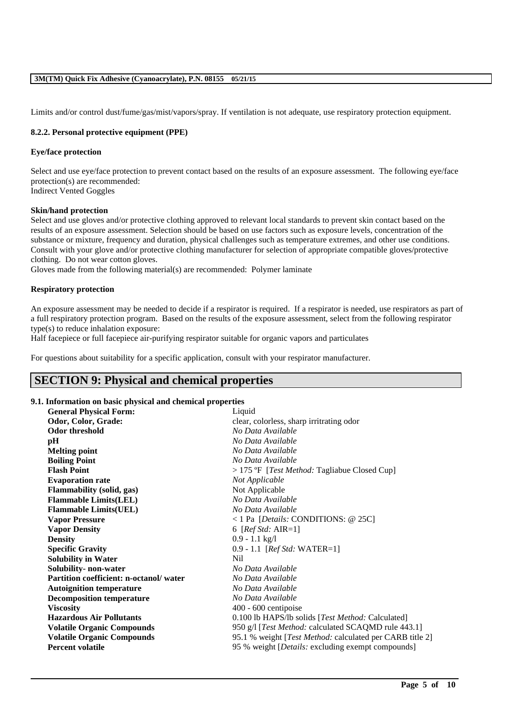Limits and/or control dust/fume/gas/mist/vapors/spray. If ventilation is not adequate, use respiratory protection equipment.

### **8.2.2. Personal protective equipment (PPE)**

### **Eye/face protection**

Select and use eye/face protection to prevent contact based on the results of an exposure assessment. The following eye/face protection(s) are recommended: Indirect Vented Goggles

### **Skin/hand protection**

Select and use gloves and/or protective clothing approved to relevant local standards to prevent skin contact based on the results of an exposure assessment. Selection should be based on use factors such as exposure levels, concentration of the substance or mixture, frequency and duration, physical challenges such as temperature extremes, and other use conditions. Consult with your glove and/or protective clothing manufacturer for selection of appropriate compatible gloves/protective clothing. Do not wear cotton gloves.

Gloves made from the following material(s) are recommended: Polymer laminate

### **Respiratory protection**

An exposure assessment may be needed to decide if a respirator is required. If a respirator is needed, use respirators as part of a full respiratory protection program. Based on the results of the exposure assessment, select from the following respirator type(s) to reduce inhalation exposure:

Half facepiece or full facepiece air-purifying respirator suitable for organic vapors and particulates

For questions about suitability for a specific application, consult with your respirator manufacturer.

# **SECTION 9: Physical and chemical properties**

### **9.1. Information on basic physical and chemical properties**

| <b>General Physical Form:</b>          | Liquid                                                      |
|----------------------------------------|-------------------------------------------------------------|
| Odor, Color, Grade:                    | clear, colorless, sharp irritrating odor                    |
| Odor threshold                         | No Data Available                                           |
| pН                                     | No Data Available                                           |
| <b>Melting point</b>                   | No Data Available                                           |
| <b>Boiling Point</b>                   | No Data Available                                           |
| <b>Flash Point</b>                     | $>$ 175 °F [ <i>Test Method:</i> Tagliabue Closed Cup]      |
| <b>Evaporation rate</b>                | Not Applicable                                              |
| <b>Flammability (solid, gas)</b>       | Not Applicable                                              |
| <b>Flammable Limits(LEL)</b>           | No Data Available                                           |
| <b>Flammable Limits(UEL)</b>           | No Data Available                                           |
| <b>Vapor Pressure</b>                  | <1 Pa [Details: CONDITIONS: @ 25C]                          |
| <b>Vapor Density</b>                   | 6 [ $RefStd: AIR=1$ ]                                       |
| <b>Density</b>                         | $0.9 - 1.1$ kg/l                                            |
| <b>Specific Gravity</b>                | $0.9 - 1.1$ [ <i>Ref Std:</i> WATER=1]                      |
| <b>Solubility in Water</b>             | Nil                                                         |
| Solubility- non-water                  | No Data Available                                           |
| Partition coefficient: n-octanol/water | No Data Available                                           |
| <b>Autoignition temperature</b>        | No Data Available                                           |
| <b>Decomposition temperature</b>       | No Data Available                                           |
| <b>Viscosity</b>                       | $400 - 600$ centipoise                                      |
| <b>Hazardous Air Pollutants</b>        | 0.100 lb HAPS/lb solids [Test Method: Calculated]           |
| <b>Volatile Organic Compounds</b>      | 950 g/l [ <i>Test Method:</i> calculated SCAQMD rule 443.1] |
| <b>Volatile Organic Compounds</b>      | 95.1 % weight [Test Method: calculated per CARB title 2]    |
| <b>Percent volatile</b>                | 95 % weight [ <i>Details:</i> excluding exempt compounds]   |
|                                        |                                                             |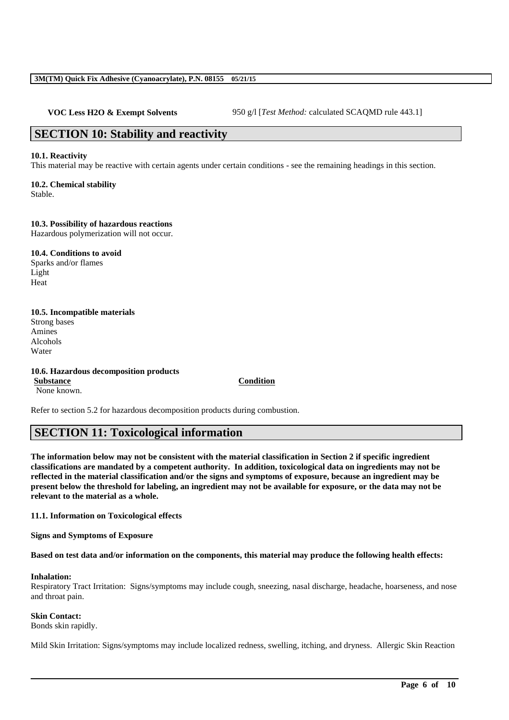**VOC Less H2O & Exempt Solvents** 950 g/l [*Test Method: calculated SCAQMD rule 443.1]* 

# **SECTION 10: Stability and reactivity**

### **10.1. Reactivity**

This material may be reactive with certain agents under certain conditions - see the remaining headings in this section.

**10.2. Chemical stability** Stable.

**10.3. Possibility of hazardous reactions**

Hazardous polymerization will not occur.

**10.4. Conditions to avoid** Sparks and/or flames Light Heat

# **10.5. Incompatible materials**

Strong bases Amines Alcohols Water

**10.6. Hazardous decomposition products Substance Condition** None known.

Refer to section 5.2 for hazardous decomposition products during combustion.

# **SECTION 11: Toxicological information**

**The information below may not be consistent with the material classification in Section 2 if specific ingredient classifications are mandated by a competent authority. In addition, toxicological data on ingredients may not be reflected in the material classification and/or the signs and symptoms of exposure, because an ingredient may be present below the threshold for labeling, an ingredient may not be available for exposure, or the data may not be relevant to the material as a whole.**

# **11.1. Information on Toxicological effects**

**Signs and Symptoms of Exposure**

**Based on test data and/or information on the components, this material may produce the following health effects:**

### **Inhalation:**

Respiratory Tract Irritation: Signs/symptoms may include cough, sneezing, nasal discharge, headache, hoarseness, and nose and throat pain.

# **Skin Contact:**

Bonds skin rapidly.

Mild Skin Irritation: Signs/symptoms may include localized redness, swelling, itching, and dryness. Allergic Skin Reaction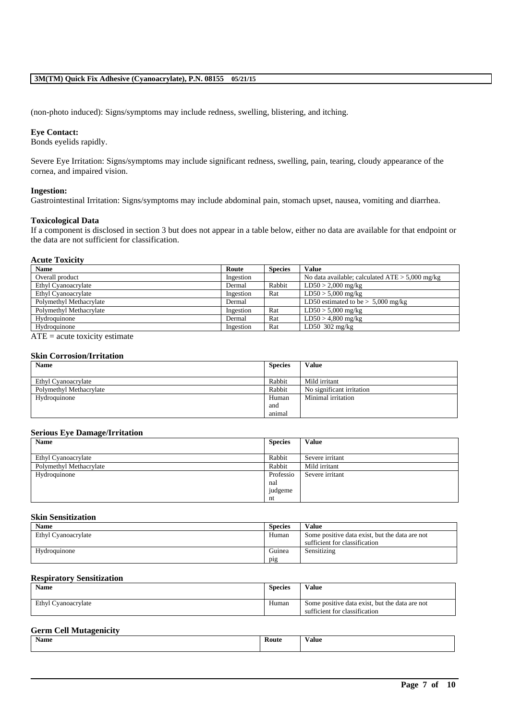(non-photo induced): Signs/symptoms may include redness, swelling, blistering, and itching.

### **Eye Contact:**

Bonds eyelids rapidly.

Severe Eye Irritation: Signs/symptoms may include significant redness, swelling, pain, tearing, cloudy appearance of the cornea, and impaired vision.

### **Ingestion:**

Gastrointestinal Irritation: Signs/symptoms may include abdominal pain, stomach upset, nausea, vomiting and diarrhea.

### **Toxicological Data**

If a component is disclosed in section 3 but does not appear in a table below, either no data are available for that endpoint or the data are not sufficient for classification.

# **Acute Toxicity**

| <b>Name</b>             | Route     | <b>Species</b> | <b>Value</b>                                      |
|-------------------------|-----------|----------------|---------------------------------------------------|
| Overall product         | Ingestion |                | No data available; calculated $ATE > 5,000$ mg/kg |
| Ethyl Cyanoacrylate     | Dermal    | Rabbit         | $LD50 > 2,000$ mg/kg                              |
| Ethyl Cyanoacrylate     | Ingestion | Rat            | $LD50 > 5,000$ mg/kg                              |
| Polymethyl Methacrylate | Dermal    |                | LD50 estimated to be $> 5,000$ mg/kg              |
| Polymethyl Methacrylate | Ingestion | Rat            | $LD50 > 5,000$ mg/kg                              |
| Hydroquinone            | Dermal    | Rat            | $LD50 > 4,800$ mg/kg                              |
| Hydroquinone            | Ingestion | Rat            | LD50 $302 \text{ mg/kg}$                          |

 $\overline{ATE}$  = acute toxicity estimate

### **Skin Corrosion/Irritation**

| <b>Name</b>             | <b>Species</b> | <b>Value</b>              |
|-------------------------|----------------|---------------------------|
|                         |                |                           |
| Ethyl Cyanoacrylate     | Rabbit         | Mild irritant             |
| Polymethyl Methacrylate | Rabbit         | No significant irritation |
| Hydroquinone            | Human          | Minimal irritation        |
|                         | and            |                           |
|                         | animal         |                           |

### **Serious Eye Damage/Irritation**

| <b>Name</b>             | <b>Species</b> | <b>Value</b>    |
|-------------------------|----------------|-----------------|
|                         |                |                 |
| Ethyl Cyanoacrylate     | Rabbit         | Severe irritant |
| Polymethyl Methacrylate | Rabbit         | Mild irritant   |
| Hydroquinone            | Professio      | Severe irritant |
|                         | nal            |                 |
|                         | judgeme        |                 |
|                         | nt             |                 |

### **Skin Sensitization**

| <b>Name</b>         | <b>Species</b> | <b>Value</b>                                                                    |
|---------------------|----------------|---------------------------------------------------------------------------------|
| Ethyl Cyanoacrylate | Human          | Some positive data exist, but the data are not<br>sufficient for classification |
| Hydroquinone        | Guinea         | Sensitizing                                                                     |
|                     | pig            |                                                                                 |

### **Respiratory Sensitization**

| <b>Name</b>         | <b>Species</b> | Value                                                                           |
|---------------------|----------------|---------------------------------------------------------------------------------|
| Ethyl Cyanoacrylate | Human          | Some positive data exist, but the data are not<br>sufficient for classification |

### **Germ Cell Mutagenicity**

| -           | Route | - 1    |
|-------------|-------|--------|
| <b>Name</b> | .     | V alue |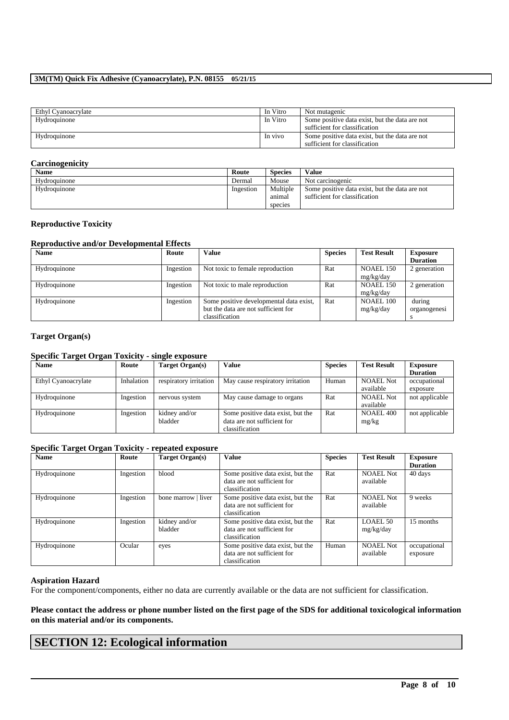| Ethyl Cyanoacrylate | In Vitro | Not mutagenic                                  |
|---------------------|----------|------------------------------------------------|
| Hydroquinone        | In Vitro | Some positive data exist, but the data are not |
|                     |          | sufficient for classification                  |
| Hydroquinone        | In vivo  | Some positive data exist, but the data are not |
|                     |          | sufficient for classification                  |

# **Carcinogenicity**

| <b>Name</b>  | Route     | <b>Species</b>                | Value                                                                           |
|--------------|-----------|-------------------------------|---------------------------------------------------------------------------------|
| Hydroquinone | Dermal    | Mouse                         | Not carcinogenic                                                                |
| Hydroquinone | Ingestion | Multiple<br>anımal<br>species | Some positive data exist, but the data are not<br>sufficient for classification |

### **Reproductive Toxicity**

# **Reproductive and/or Developmental Effects**

| <b>Name</b>  | Route     | <b>Value</b>                            | <b>Species</b> | <b>Test Result</b> | <b>Exposure</b> |
|--------------|-----------|-----------------------------------------|----------------|--------------------|-----------------|
|              |           |                                         |                |                    | <b>Duration</b> |
| Hydroquinone | Ingestion | Not toxic to female reproduction        | Rat            | NOAEL 150          | 2 generation    |
|              |           |                                         |                | mg/kg/day          |                 |
| Hydroquinone | Ingestion | Not toxic to male reproduction          | Rat            | NOAEL 150          | 2 generation    |
|              |           |                                         |                | mg/kg/day          |                 |
| Hydroquinone | Ingestion | Some positive developmental data exist, | Rat            | NOAEL 100          | during          |
|              |           | but the data are not sufficient for     |                | mg/kg/day          | organogenesi    |
|              |           | classification                          |                |                    |                 |

# **Target Organ(s)**

# **Specific Target Organ Toxicity - single exposure**

| <b>Name</b>         | Route      | Target Organ(s)        | Value                             | <b>Species</b> | <b>Test Result</b> | <b>Exposure</b> |
|---------------------|------------|------------------------|-----------------------------------|----------------|--------------------|-----------------|
|                     |            |                        |                                   |                |                    | <b>Duration</b> |
| Ethyl Cyanoacrylate | Inhalation | respiratory irritation | May cause respiratory irritation  | Human          | NOAEL Not          | occupational    |
|                     |            |                        |                                   |                | available          | exposure        |
| Hydroquinone        | Ingestion  | nervous system         | May cause damage to organs        | Rat            | <b>NOAEL Not</b>   | not applicable  |
|                     |            |                        |                                   |                | available          |                 |
| Hydroquinone        | Ingestion  | kidney and/or          | Some positive data exist, but the | Rat            | NOAEL 400          | not applicable  |
|                     |            | bladder                | data are not sufficient for       |                | mg/kg              |                 |
|                     |            |                        | classification                    |                |                    |                 |

# **Specific Target Organ Toxicity - repeated exposure**

| <b>Name</b>  | Route     | Target Organ(s)          | <b>Value</b>                                                                       | <b>Species</b> | <b>Test Result</b>            | <b>Exposure</b><br><b>Duration</b> |
|--------------|-----------|--------------------------|------------------------------------------------------------------------------------|----------------|-------------------------------|------------------------------------|
| Hydroquinone | Ingestion | blood                    | Some positive data exist, but the<br>data are not sufficient for<br>classification | Rat            | <b>NOAEL Not</b><br>available | 40 days                            |
| Hydroquinone | Ingestion | bone marrow   liver      | Some positive data exist, but the<br>data are not sufficient for<br>classification | Rat            | NOAEL Not<br>available        | 9 weeks                            |
| Hydroquinone | Ingestion | kidney and/or<br>bladder | Some positive data exist, but the<br>data are not sufficient for<br>classification | Rat            | LOAEL 50<br>mg/kg/day         | 15 months                          |
| Hydroquinone | Ocular    | eyes                     | Some positive data exist, but the<br>data are not sufficient for<br>classification | Human          | <b>NOAEL Not</b><br>available | occupational<br>exposure           |

### **Aspiration Hazard**

For the component/components, either no data are currently available or the data are not sufficient for classification.

**Please contact the address or phone number listed on the first page of the SDS for additional toxicological information on this material and/or its components.**

\_\_\_\_\_\_\_\_\_\_\_\_\_\_\_\_\_\_\_\_\_\_\_\_\_\_\_\_\_\_\_\_\_\_\_\_\_\_\_\_\_\_\_\_\_\_\_\_\_\_\_\_\_\_\_\_\_\_\_\_\_\_\_\_\_\_\_\_\_\_\_\_\_\_\_\_\_\_\_\_\_\_\_\_\_\_\_\_\_\_

# **SECTION 12: Ecological information**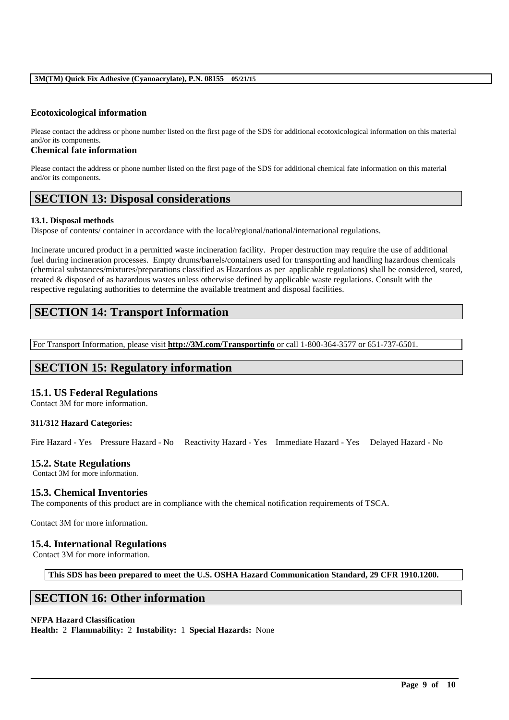# **Ecotoxicological information**

Please contact the address or phone number listed on the first page of the SDS for additional ecotoxicological information on this material and/or its components.

### **Chemical fate information**

Please contact the address or phone number listed on the first page of the SDS for additional chemical fate information on this material and/or its components.

# **SECTION 13: Disposal considerations**

### **13.1. Disposal methods**

Dispose of contents/ container in accordance with the local/regional/national/international regulations.

Incinerate uncured product in a permitted waste incineration facility. Proper destruction may require the use of additional fuel during incineration processes. Empty drums/barrels/containers used for transporting and handling hazardous chemicals (chemical substances/mixtures/preparations classified as Hazardous as per applicable regulations) shall be considered, stored, treated & disposed of as hazardous wastes unless otherwise defined by applicable waste regulations. Consult with the respective regulating authorities to determine the available treatment and disposal facilities.

# **SECTION 14: Transport Information**

For Transport Information, please visit **http://3M.com/Transportinfo** or call 1-800-364-3577 or 651-737-6501.

# **SECTION 15: Regulatory information**

# **15.1. US Federal Regulations**

Contact 3M for more information.

### **311/312 Hazard Categories:**

Fire Hazard - Yes Pressure Hazard - No Reactivity Hazard - Yes Immediate Hazard - Yes Delayed Hazard - No

# **15.2. State Regulations**

Contact 3M for more information.

# **15.3. Chemical Inventories**

The components of this product are in compliance with the chemical notification requirements of TSCA.

Contact 3M for more information.

# **15.4. International Regulations**

Contact 3M for more information.

**This SDS has been prepared to meet the U.S. OSHA Hazard Communication Standard, 29 CFR 1910.1200.**

\_\_\_\_\_\_\_\_\_\_\_\_\_\_\_\_\_\_\_\_\_\_\_\_\_\_\_\_\_\_\_\_\_\_\_\_\_\_\_\_\_\_\_\_\_\_\_\_\_\_\_\_\_\_\_\_\_\_\_\_\_\_\_\_\_\_\_\_\_\_\_\_\_\_\_\_\_\_\_\_\_\_\_\_\_\_\_\_\_\_

# **SECTION 16: Other information**

### **NFPA Hazard Classification**

**Health:** 2 **Flammability:** 2 **Instability:** 1 **Special Hazards:** None